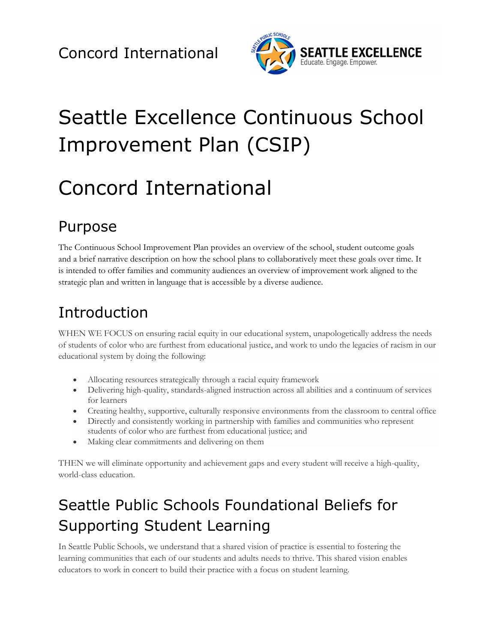

# Seattle Excellence Continuous School Improvement Plan (CSIP)

# Concord International

## Purpose

The Continuous School Improvement Plan provides an overview of the school, student outcome goals and a brief narrative description on how the school plans to collaboratively meet these goals over time. It is intended to offer families and community audiences an overview of improvement work aligned to the strategic plan and written in language that is accessible by a diverse audience.

## Introduction

WHEN WE FOCUS on ensuring racial equity in our educational system, unapologetically address the needs of students of color who are furthest from educational justice, and work to undo the legacies of racism in our educational system by doing the following:

- Allocating resources strategically through a racial equity framework
- Delivering high-quality, standards-aligned instruction across all abilities and a continuum of services for learners
- Creating healthy, supportive, culturally responsive environments from the classroom to central office
- Directly and consistently working in partnership with families and communities who represent students of color who are furthest from educational justice; and
- Making clear commitments and delivering on them

THEN we will eliminate opportunity and achievement gaps and every student will receive a high-quality, world-class education.

## Seattle Public Schools Foundational Beliefs for Supporting Student Learning

In Seattle Public Schools, we understand that a shared vision of practice is essential to fostering the learning communities that each of our students and adults needs to thrive. This shared vision enables educators to work in concert to build their practice with a focus on student learning.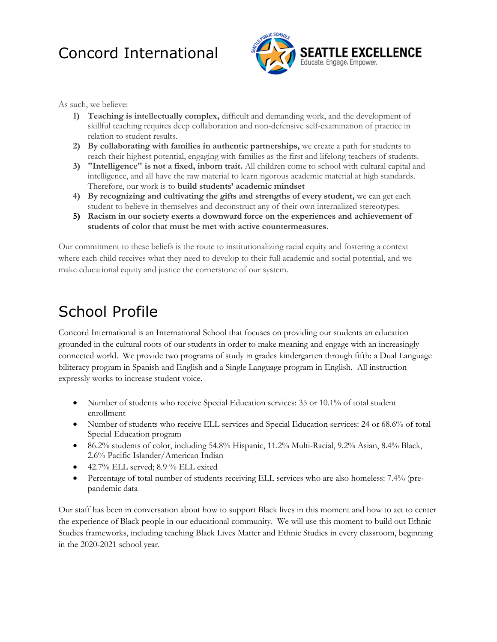

As such, we believe:

- **1) Teaching is intellectually complex,** difficult and demanding work, and the development of skillful teaching requires deep collaboration and non-defensive self-examination of practice in relation to student results.
- **2) By collaborating with families in authentic partnerships,** we create a path for students to reach their highest potential, engaging with families as the first and lifelong teachers of students.
- **3) "Intelligence" is not a fixed, inborn trait.** All children come to school with cultural capital and intelligence, and all have the raw material to learn rigorous academic material at high standards. Therefore, our work is to **build students' academic mindset**
- **4) By recognizing and cultivating the gifts and strengths of every student,** we can get each student to believe in themselves and deconstruct any of their own internalized stereotypes.
- **5) Racism in our society exerts a downward force on the experiences and achievement of students of color that must be met with active countermeasures.**

Our commitment to these beliefs is the route to institutionalizing racial equity and fostering a context where each child receives what they need to develop to their full academic and social potential, and we make educational equity and justice the cornerstone of our system.

## School Profile

Concord International is an International School that focuses on providing our students an education grounded in the cultural roots of our students in order to make meaning and engage with an increasingly connected world. We provide two programs of study in grades kindergarten through fifth: a Dual Language biliteracy program in Spanish and English and a Single Language program in English. All instruction expressly works to increase student voice.

- Number of students who receive Special Education services: 35 or 10.1% of total student enrollment
- Number of students who receive ELL services and Special Education services: 24 or 68.6% of total Special Education program
- 86.2% students of color, including 54.8% Hispanic, 11.2% Multi-Racial, 9.2% Asian, 8.4% Black, 2.6% Pacific Islander/American Indian
- $\bullet$  42.7% ELL served; 8.9 % ELL exited
- Percentage of total number of students receiving ELL services who are also homeless: 7.4% (prepandemic data

Our staff has been in conversation about how to support Black lives in this moment and how to act to center the experience of Black people in our educational community. We will use this moment to build out Ethnic Studies frameworks, including teaching Black Lives Matter and Ethnic Studies in every classroom, beginning in the 2020-2021 school year.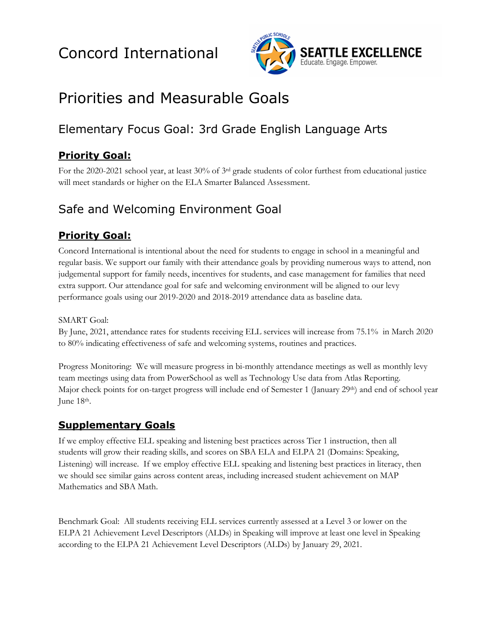

## Priorities and Measurable Goals

### Elementary Focus Goal: 3rd Grade English Language Arts

### **Priority Goal:**

For the 2020-2021 school year, at least 30% of 3rd grade students of color furthest from educational justice will meet standards or higher on the ELA Smarter Balanced Assessment.

### Safe and Welcoming Environment Goal

### **Priority Goal:**

Concord International is intentional about the need for students to engage in school in a meaningful and regular basis. We support our family with their attendance goals by providing numerous ways to attend, non judgemental support for family needs, incentives for students, and case management for families that need extra support. Our attendance goal for safe and welcoming environment will be aligned to our levy performance goals using our 2019-2020 and 2018-2019 attendance data as baseline data.

#### SMART Goal:

By June, 2021, attendance rates for students receiving ELL services will increase from 75.1% in March 2020 to 80% indicating effectiveness of safe and welcoming systems, routines and practices.

Progress Monitoring: We will measure progress in bi-monthly attendance meetings as well as monthly levy team meetings using data from PowerSchool as well as Technology Use data from Atlas Reporting. Major check points for on-target progress will include end of Semester 1 (January 29<sup>th</sup>) and end of school year June 18th.

### **Supplementary Goals**

If we employ effective ELL speaking and listening best practices across Tier 1 instruction, then all students will grow their reading skills, and scores on SBA ELA and ELPA 21 (Domains: Speaking, Listening) will increase. If we employ effective ELL speaking and listening best practices in literacy, then we should see similar gains across content areas, including increased student achievement on MAP Mathematics and SBA Math.

Benchmark Goal: All students receiving ELL services currently assessed at a Level 3 or lower on the ELPA 21 Achievement Level Descriptors (ALDs) in Speaking will improve at least one level in Speaking according to the ELPA 21 Achievement Level Descriptors (ALDs) by January 29, 2021.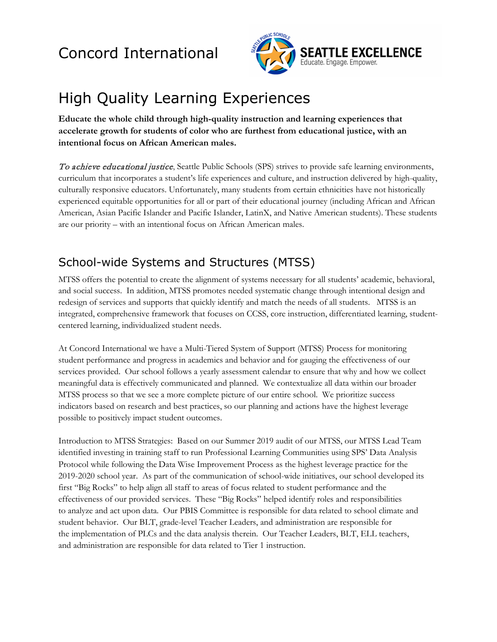

## High Quality Learning Experiences

**Educate the whole child through high-quality instruction and learning experiences that accelerate growth for students of color who are furthest from educational justice, with an intentional focus on African American males.** 

To achieve educational justice, Seattle Public Schools (SPS) strives to provide safe learning environments, curriculum that incorporates a student's life experiences and culture, and instruction delivered by high-quality, culturally responsive educators. Unfortunately, many students from certain ethnicities have not historically experienced equitable opportunities for all or part of their educational journey (including African and African American, Asian Pacific Islander and Pacific Islander, LatinX, and Native American students). These students are our priority – with an intentional focus on African American males.

### School-wide Systems and Structures (MTSS)

MTSS offers the potential to create the alignment of systems necessary for all students' academic, behavioral, and social success. In addition, MTSS promotes needed systematic change through intentional design and redesign of services and supports that quickly identify and match the needs of all students. MTSS is an integrated, comprehensive framework that focuses on CCSS, core instruction, differentiated learning, studentcentered learning, individualized student needs.

At Concord International we have a Multi-Tiered System of Support (MTSS) Process for monitoring student performance and progress in academics and behavior and for gauging the effectiveness of our services provided. Our school follows a yearly assessment calendar to ensure that why and how we collect meaningful data is effectively communicated and planned. We contextualize all data within our broader MTSS process so that we see a more complete picture of our entire school. We prioritize success indicators based on research and best practices, so our planning and actions have the highest leverage possible to positively impact student outcomes.

Introduction to MTSS Strategies: Based on our Summer 2019 audit of our MTSS, our MTSS Lead Team identified investing in training staff to run Professional Learning Communities using SPS' Data Analysis Protocol while following the Data Wise Improvement Process as the highest leverage practice for the 2019-2020 school year. As part of the communication of school-wide initiatives, our school developed its first "Big Rocks" to help align all staff to areas of focus related to student performance and the effectiveness of our provided services. These "Big Rocks" helped identify roles and responsibilities to analyze and act upon data. Our PBIS Committee is responsible for data related to school climate and student behavior. Our BLT, grade-level Teacher Leaders, and administration are responsible for the implementation of PLCs and the data analysis therein. Our Teacher Leaders, BLT, ELL teachers, and administration are responsible for data related to Tier 1 instruction.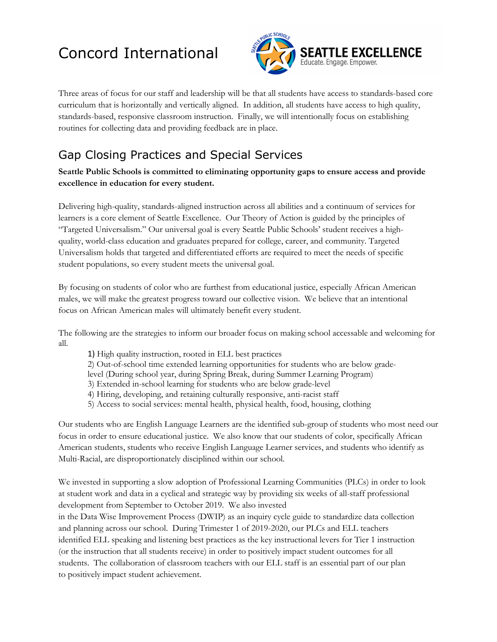

Three areas of focus for our staff and leadership will be that all students have access to standards-based core curriculum that is horizontally and vertically aligned. In addition, all students have access to high quality, standards-based, responsive classroom instruction. Finally, we will intentionally focus on establishing routines for collecting data and providing feedback are in place.

### Gap Closing Practices and Special Services

**Seattle Public Schools is committed to eliminating opportunity gaps to ensure access and provide excellence in education for every student.**

Delivering high-quality, standards-aligned instruction across all abilities and a continuum of services for learners is a core element of Seattle Excellence. Our Theory of Action is guided by the principles of "Targeted Universalism." Our universal goal is every Seattle Public Schools' student receives a highquality, world-class education and graduates prepared for college, career, and community. Targeted Universalism holds that targeted and differentiated efforts are required to meet the needs of specific student populations, so every student meets the universal goal.

By focusing on students of color who are furthest from educational justice, especially African American males, we will make the greatest progress toward our collective vision. We believe that an intentional focus on African American males will ultimately benefit every student.

The following are the strategies to inform our broader focus on making school accessable and welcoming for all.

- 1) High quality instruction, rooted in ELL best practices
- 2) Out-of-school time extended learning opportunities for students who are below grade-
- level (During school year, during Spring Break, during Summer Learning Program)
- 3) Extended in-school learning for students who are below grade-level
- 4) Hiring, developing, and retaining culturally responsive, anti-racist staff
- 5) Access to social services: mental health, physical health, food, housing, clothing

Our students who are English Language Learners are the identified sub-group of students who most need our focus in order to ensure educational justice. We also know that our students of color, specifically African American students, students who receive English Language Learner services, and students who identify as Multi-Racial, are disproportionately disciplined within our school.

We invested in supporting a slow adoption of Professional Learning Communities (PLCs) in order to look at student work and data in a cyclical and strategic way by providing six weeks of all-staff professional development from September to October 2019. We also invested

in the Data Wise Improvement Process (DWIP) as an inquiry cycle guide to standardize data collection and planning across our school. During Trimester 1 of 2019-2020, our PLCs and ELL teachers identified ELL speaking and listening best practices as the key instructional levers for Tier 1 instruction (or the instruction that all students receive) in order to positively impact student outcomes for all students. The collaboration of classroom teachers with our ELL staff is an essential part of our plan to positively impact student achievement.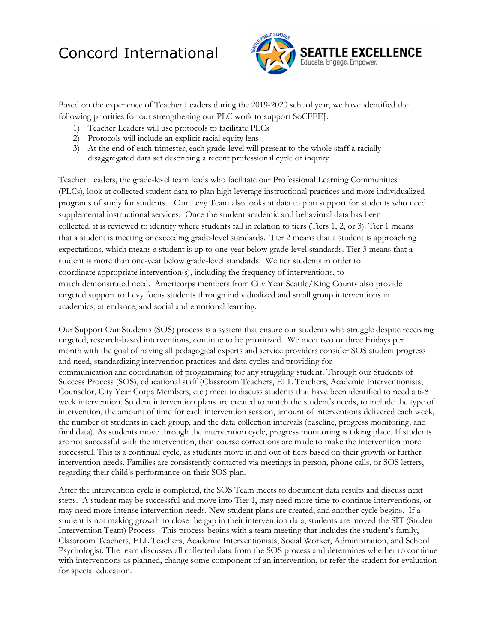

Based on the experience of Teacher Leaders during the 2019-2020 school year, we have identified the following priorities for our strengthening our PLC work to support SoCFFEJ:

- 1) Teacher Leaders will use protocols to facilitate PLCs
- 2) Protocols will include an explicit racial equity lens
- 3) At the end of each trimester, each grade-level will present to the whole staff a racially disaggregated data set describing a recent professional cycle of inquiry

Teacher Leaders, the grade-level team leads who facilitate our Professional Learning Communities (PLCs), look at collected student data to plan high leverage instructional practices and more individualized programs of study for students. Our Levy Team also looks at data to plan support for students who need supplemental instructional services. Once the student academic and behavioral data has been collected, it is reviewed to identify where students fall in relation to tiers (Tiers 1, 2, or 3). Tier 1 means that a student is meeting or exceeding grade-level standards. Tier 2 means that a student is approaching expectations, which means a student is up to one-year below grade-level standards. Tier 3 means that a student is more than one-year below grade-level standards. We tier students in order to coordinate appropriate intervention(s), including the frequency of interventions, to match demonstrated need. Americorps members from City Year Seattle/King County also provide targeted support to Levy focus students through individualized and small group interventions in academics, attendance, and social and emotional learning.

Our Support Our Students (SOS) process is a system that ensure our students who struggle despite receiving targeted, research-based interventions, continue to be prioritized. We meet two or three Fridays per month with the goal of having all pedagogical experts and service providers consider SOS student progress and need, standardizing intervention practices and data cycles and providing for communication and coordination of programming for any struggling student. Through our Students of Success Process (SOS), educational staff (Classroom Teachers, ELL Teachers, Academic Interventionists, Counselor, City Year Corps Members, etc.) meet to discuss students that have been identified to need a 6-8 week intervention. Student intervention plans are created to match the student's needs, to include the type of intervention, the amount of time for each intervention session, amount of interventions delivered each week, the number of students in each group, and the data collection intervals (baseline, progress monitoring, and final data). As students move through the intervention cycle, progress monitoring is taking place. If students are not successful with the intervention, then course corrections are made to make the intervention more successful. This is a continual cycle, as students move in and out of tiers based on their growth or further intervention needs. Families are consistently contacted via meetings in person, phone calls, or SOS letters, regarding their child's performance on their SOS plan.

After the intervention cycle is completed, the SOS Team meets to document data results and discuss next steps. A student may be successful and move into Tier 1, may need more time to continue interventions, or may need more intense intervention needs. New student plans are created, and another cycle begins. If a student is not making growth to close the gap in their intervention data, students are moved the SIT (Student Intervention Team) Process. This process begins with a team meeting that includes the student's family, Classroom Teachers, ELL Teachers, Academic Interventionists, Social Worker, Administration, and School Psychologist. The team discusses all collected data from the SOS process and determines whether to continue with interventions as planned, change some component of an intervention, or refer the student for evaluation for special education.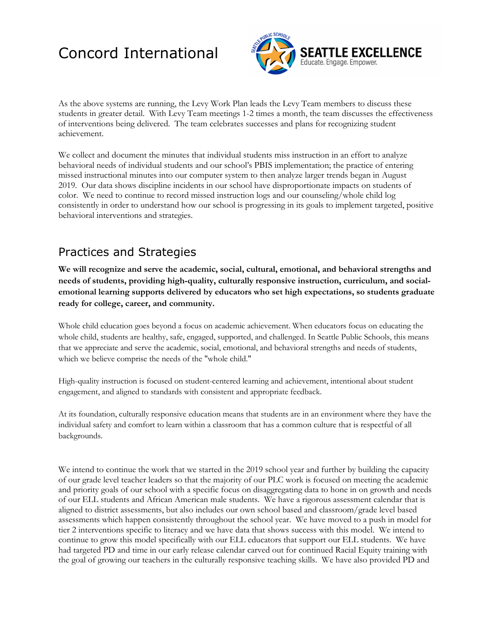

As the above systems are running, the Levy Work Plan leads the Levy Team members to discuss these students in greater detail. With Levy Team meetings 1-2 times a month, the team discusses the effectiveness of interventions being delivered. The team celebrates successes and plans for recognizing student achievement.

We collect and document the minutes that individual students miss instruction in an effort to analyze behavioral needs of individual students and our school's PBIS implementation; the practice of entering missed instructional minutes into our computer system to then analyze larger trends began in August 2019. Our data shows discipline incidents in our school have disproportionate impacts on students of color. We need to continue to record missed instruction logs and our counseling/whole child log consistently in order to understand how our school is progressing in its goals to implement targeted, positive behavioral interventions and strategies.

### Practices and Strategies

**We will recognize and serve the academic, social, cultural, emotional, and behavioral strengths and needs of students, providing high-quality, culturally responsive instruction, curriculum, and socialemotional learning supports delivered by educators who set high expectations, so students graduate ready for college, career, and community.**

Whole child education goes beyond a focus on academic achievement. When educators focus on educating the whole child, students are healthy, safe, engaged, supported, and challenged. In Seattle Public Schools, this means that we appreciate and serve the academic, social, emotional, and behavioral strengths and needs of students, which we believe comprise the needs of the "whole child."

High-quality instruction is focused on student-centered learning and achievement, intentional about student engagement, and aligned to standards with consistent and appropriate feedback.

At its foundation, culturally responsive education means that students are in an environment where they have the individual safety and comfort to learn within a classroom that has a common culture that is respectful of all backgrounds.

We intend to continue the work that we started in the 2019 school year and further by building the capacity of our grade level teacher leaders so that the majority of our PLC work is focused on meeting the academic and priority goals of our school with a specific focus on disaggregating data to hone in on growth and needs of our ELL students and African American male students. We have a rigorous assessment calendar that is aligned to district assessments, but also includes our own school based and classroom/grade level based assessments which happen consistently throughout the school year. We have moved to a push in model for tier 2 interventions specific to literacy and we have data that shows success with this model. We intend to continue to grow this model specifically with our ELL educators that support our ELL students. We have had targeted PD and time in our early release calendar carved out for continued Racial Equity training with the goal of growing our teachers in the culturally responsive teaching skills. We have also provided PD and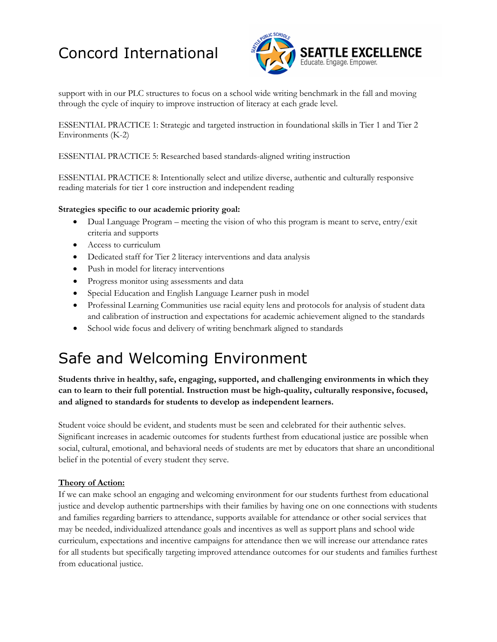

support with in our PLC structures to focus on a school wide writing benchmark in the fall and moving through the cycle of inquiry to improve instruction of literacy at each grade level.

ESSENTIAL PRACTICE 1: Strategic and targeted instruction in foundational skills in Tier 1 and Tier 2 Environments (K-2)

ESSENTIAL PRACTICE 5: Researched based standards-aligned writing instruction

ESSENTIAL PRACTICE 8: Intentionally select and utilize diverse, authentic and culturally responsive reading materials for tier 1 core instruction and independent reading

#### **Strategies specific to our academic priority goal:**

- Dual Language Program meeting the vision of who this program is meant to serve, entry/exit criteria and supports
- Access to curriculum
- Dedicated staff for Tier 2 literacy interventions and data analysis
- Push in model for literacy interventions
- Progress monitor using assessments and data
- Special Education and English Language Learner push in model
- Professinal Learning Communities use racial equity lens and protocols for analysis of student data and calibration of instruction and expectations for academic achievement aligned to the standards
- School wide focus and delivery of writing benchmark aligned to standards

### Safe and Welcoming Environment

**Students thrive in healthy, safe, engaging, supported, and challenging environments in which they can to learn to their full potential. Instruction must be high-quality, culturally responsive, focused, and aligned to standards for students to develop as independent learners.**

Student voice should be evident, and students must be seen and celebrated for their authentic selves. Significant increases in academic outcomes for students furthest from educational justice are possible when social, cultural, emotional, and behavioral needs of students are met by educators that share an unconditional belief in the potential of every student they serve.

#### **Theory of Action:**

If we can make school an engaging and welcoming environment for our students furthest from educational justice and develop authentic partnerships with their families by having one on one connections with students and families regarding barriers to attendance, supports available for attendance or other social services that may be needed, individualized attendance goals and incentives as well as support plans and school wide curriculum, expectations and incentive campaigns for attendance then we will increase our attendance rates for all students but specifically targeting improved attendance outcomes for our students and families furthest from educational justice.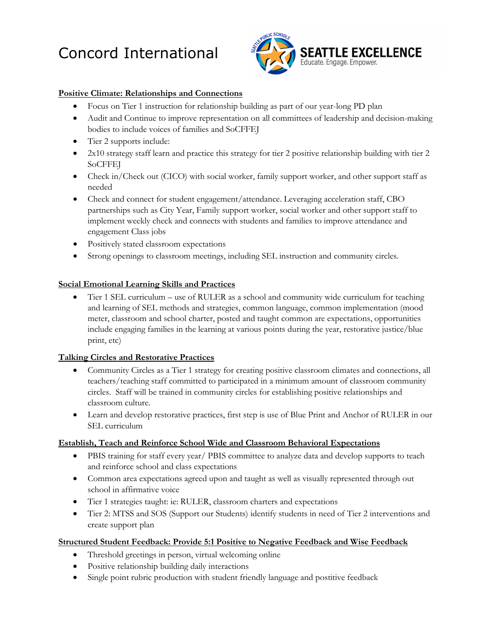

#### **Positive Climate: Relationships and Connections**

- Focus on Tier 1 instruction for relationship building as part of our year-long PD plan
- Audit and Continue to improve representation on all committees of leadership and decision-making bodies to include voices of families and SoCFFEJ
- Tier 2 supports include:
- 2x10 strategy staff learn and practice this strategy for tier 2 positive relationship building with tier 2 SoCFFEJ
- Check in/Check out (CICO) with social worker, family support worker, and other support staff as needed
- Check and connect for student engagement/attendance. Leveraging acceleration staff, CBO partnerships such as City Year, Family support worker, social worker and other support staff to implement weekly check and connects with students and families to improve attendance and engagement Class jobs
- Positively stated classroom expectations
- Strong openings to classroom meetings, including SEL instruction and community circles.

#### **Social Emotional Learning Skills and Practices**

• Tier 1 SEL curriculum – use of RULER as a school and community wide curriculum for teaching and learning of SEL methods and strategies, common language, common implementation (mood meter, classroom and school charter, posted and taught common are expectations, opportunities include engaging families in the learning at various points during the year, restorative justice/blue print, etc)

#### **Talking Circles and Restorative Practices**

- Community Circles as a Tier 1 strategy for creating positive classroom climates and connections, all teachers/teaching staff committed to participated in a minimum amount of classroom community circles. Staff will be trained in community circles for establishing positive relationships and classroom culture.
- Learn and develop restorative practices, first step is use of Blue Print and Anchor of RULER in our SEL curriculum

#### **Establish, Teach and Reinforce School Wide and Classroom Behavioral Expectations**

- PBIS training for staff every year/ PBIS committee to analyze data and develop supports to teach and reinforce school and class expectations
- Common area expectations agreed upon and taught as well as visually represented through out school in affirmative voice
- Tier 1 strategies taught: ie: RULER, classroom charters and expectations
- Tier 2: MTSS and SOS (Support our Students) identify students in need of Tier 2 interventions and create support plan

#### **Structured Student Feedback: Provide 5:1 Positive to Negative Feedback and Wise Feedback**

- Threshold greetings in person, virtual welcoming online
- Positive relationship building daily interactions
- Single point rubric production with student friendly language and postitive feedback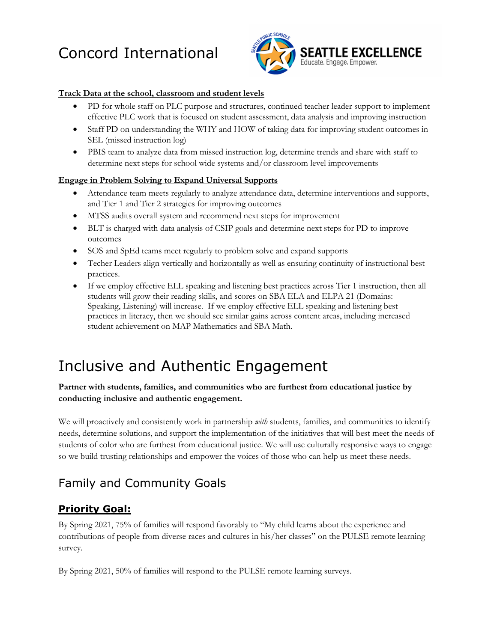

#### **Track Data at the school, classroom and student levels**

- PD for whole staff on PLC purpose and structures, continued teacher leader support to implement effective PLC work that is focused on student assessment, data analysis and improving instruction
- Staff PD on understanding the WHY and HOW of taking data for improving student outcomes in SEL (missed instruction log)
- PBIS team to analyze data from missed instruction log, determine trends and share with staff to determine next steps for school wide systems and/or classroom level improvements

#### **Engage in Problem Solving to Expand Universal Supports**

- Attendance team meets regularly to analyze attendance data, determine interventions and supports, and Tier 1 and Tier 2 strategies for improving outcomes
- MTSS audits overall system and recommend next steps for improvement
- BLT is charged with data analysis of CSIP goals and determine next steps for PD to improve outcomes
- SOS and SpEd teams meet regularly to problem solve and expand supports
- Techer Leaders align vertically and horizontally as well as ensuring continuity of instructional best practices.
- If we employ effective ELL speaking and listening best practices across Tier 1 instruction, then all students will grow their reading skills, and scores on SBA ELA and ELPA 21 (Domains: Speaking, Listening) will increase. If we employ effective ELL speaking and listening best practices in literacy, then we should see similar gains across content areas, including increased student achievement on MAP Mathematics and SBA Math.

### Inclusive and Authentic Engagement

#### **Partner with students, families, and communities who are furthest from educational justice by conducting inclusive and authentic engagement.**

We will proactively and consistently work in partnership *with* students, families, and communities to identify needs, determine solutions, and support the implementation of the initiatives that will best meet the needs of students of color who are furthest from educational justice. We will use culturally responsive ways to engage so we build trusting relationships and empower the voices of those who can help us meet these needs.

### Family and Community Goals

### **Priority Goal:**

By Spring 2021, 75% of families will respond favorably to "My child learns about the experience and contributions of people from diverse races and cultures in his/her classes" on the PULSE remote learning survey.

By Spring 2021, 50% of families will respond to the PULSE remote learning surveys.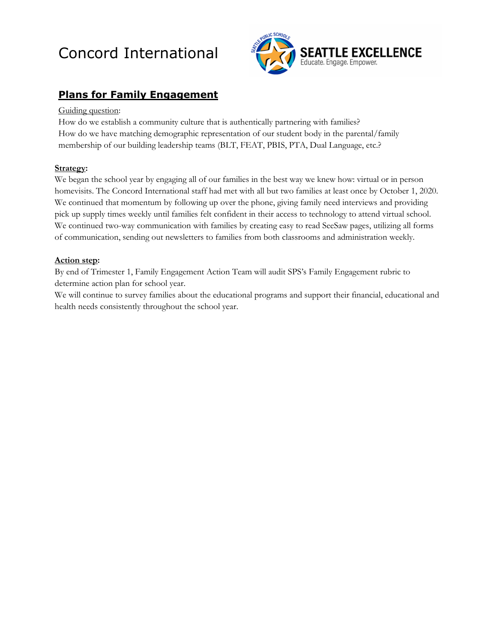

### **Plans for Family Engagement**

#### Guiding question:

How do we establish a community culture that is authentically partnering with families? How do we have matching demographic representation of our student body in the parental/family membership of our building leadership teams (BLT, FEAT, PBIS, PTA, Dual Language, etc.?

#### **Strategy:**

We began the school year by engaging all of our families in the best way we knew how: virtual or in person homevisits. The Concord International staff had met with all but two families at least once by October 1, 2020. We continued that momentum by following up over the phone, giving family need interviews and providing pick up supply times weekly until families felt confident in their access to technology to attend virtual school. We continued two-way communication with families by creating easy to read SeeSaw pages, utilizing all forms of communication, sending out newsletters to families from both classrooms and administration weekly.

#### **Action step:**

By end of Trimester 1, Family Engagement Action Team will audit SPS's Family Engagement rubric to determine action plan for school year.

We will continue to survey families about the educational programs and support their financial, educational and health needs consistently throughout the school year.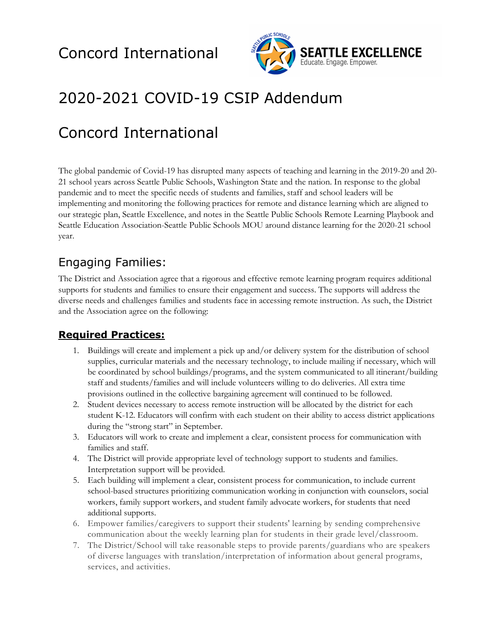

## 2020-2021 COVID-19 CSIP Addendum

## Concord International

The global pandemic of Covid-19 has disrupted many aspects of teaching and learning in the 2019-20 and 20- 21 school years across Seattle Public Schools, Washington State and the nation. In response to the global pandemic and to meet the specific needs of students and families, staff and school leaders will be implementing and monitoring the following practices for remote and distance learning which are aligned to our strategic plan, Seattle Excellence, and notes in the Seattle Public Schools Remote Learning Playbook and Seattle Education Association-Seattle Public Schools MOU around distance learning for the 2020-21 school year.

### Engaging Families:

The District and Association agree that a rigorous and effective remote learning program requires additional supports for students and families to ensure their engagement and success. The supports will address the diverse needs and challenges families and students face in accessing remote instruction. As such, the District and the Association agree on the following:

### **Required Practices:**

- 1. Buildings will create and implement a pick up and/or delivery system for the distribution of school supplies, curricular materials and the necessary technology, to include mailing if necessary, which will be coordinated by school buildings/programs, and the system communicated to all itinerant/building staff and students/families and will include volunteers willing to do deliveries. All extra time provisions outlined in the collective bargaining agreement will continued to be followed.
- 2. Student devices necessary to access remote instruction will be allocated by the district for each student K-12. Educators will confirm with each student on their ability to access district applications during the "strong start" in September.
- 3. Educators will work to create and implement a clear, consistent process for communication with families and staff.
- 4. The District will provide appropriate level of technology support to students and families. Interpretation support will be provided.
- 5. Each building will implement a clear, consistent process for communication, to include current school-based structures prioritizing communication working in conjunction with counselors, social workers, family support workers, and student family advocate workers, for students that need additional supports.
- 6. Empower families/caregivers to support their students' learning by sending comprehensive communication about the weekly learning plan for students in their grade level/classroom.
- 7. The District/School will take reasonable steps to provide parents/guardians who are speakers of diverse languages with translation/interpretation of information about general programs, services, and activities.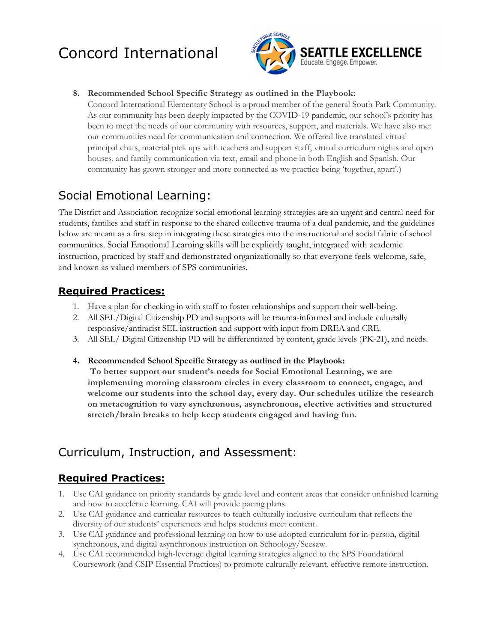

#### **8. Recommended School Specific Strategy as outlined in the Playbook:**

Concord International Elementary School is a proud member of the general South Park Community. As our community has been deeply impacted by the COVID-19 pandemic, our school's priority has been to meet the needs of our community with resources, support, and materials. We have also met our communities need for communication and connection. We offered live translated virtual principal chats, material pick ups with teachers and support staff, virtual curriculum nights and open houses, and family communication via text, email and phone in both English and Spanish. Our community has grown stronger and more connected as we practice being 'together, apart'.**)**

### Social Emotional Learning:

The District and Association recognize social emotional learning strategies are an urgent and central need for students, families and staff in response to the shared collective trauma of a dual pandemic, and the guidelines below are meant as a first step in integrating these strategies into the instructional and social fabric of school communities. Social Emotional Learning skills will be explicitly taught, integrated with academic instruction, practiced by staff and demonstrated organizationally so that everyone feels welcome, safe, and known as valued members of SPS communities.

### **Required Practices:**

- 1. Have a plan for checking in with staff to foster relationships and support their well-being.
- 2. All SEL/Digital Citizenship PD and supports will be trauma-informed and include culturally responsive/antiracist SEL instruction and support with input from DREA and CRE.
- 3. All SEL/ Digital Citizenship PD will be differentiated by content, grade levels (PK-21), and needs.

#### **4. Recommended School Specific Strategy as outlined in the Playbook:**

**To better support our student's needs for Social Emotional Learning, we are implementing morning classroom circles in every classroom to connect, engage, and welcome our students into the school day, every day. Our schedules utilize the research on metacognition to vary synchronous, asynchronous, elective activities and structured stretch/brain breaks to help keep students engaged and having fun.** 

### Curriculum, Instruction, and Assessment:

### **Required Practices:**

- 1. Use CAI guidance on priority standards by grade level and content areas that consider unfinished learning and how to accelerate learning. CAI will provide pacing plans.
- 2. Use CAI guidance and curricular resources to teach culturally inclusive curriculum that reflects the diversity of our students' experiences and helps students meet content.
- 3. Use CAI guidance and professional learning on how to use adopted curriculum for in-person, digital synchronous, and digital asynchronous instruction on Schoology/Seesaw.
- 4. Use CAI recommended high-leverage digital learning strategies aligned to the SPS Foundational Coursework (and CSIP Essential Practices) to promote culturally relevant, effective remote instruction.